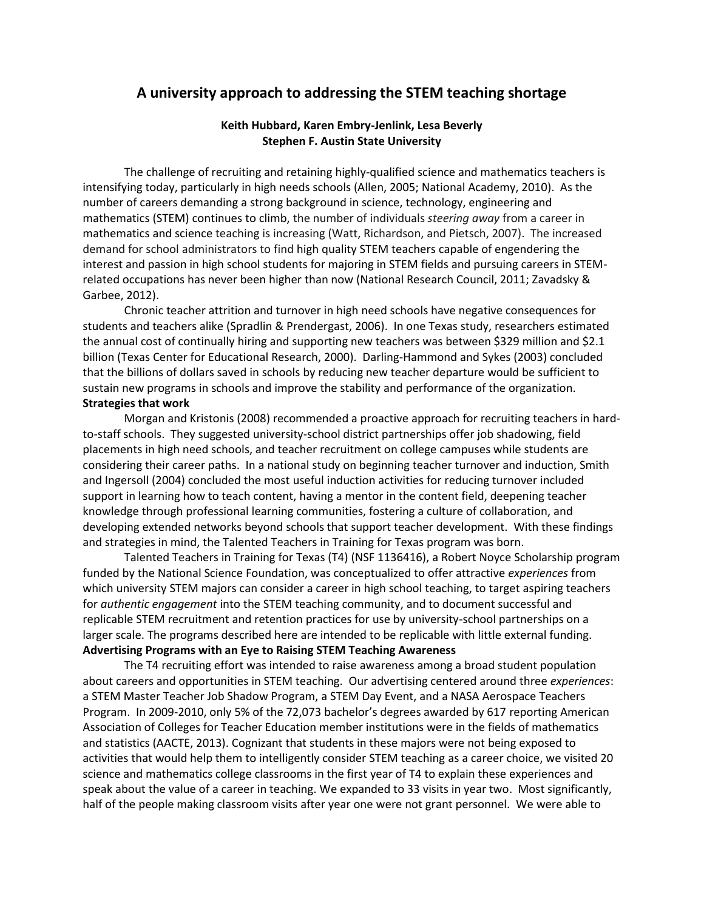# **A university approach to addressing the STEM teaching shortage**

## **Keith Hubbard, Karen Embry-Jenlink, Lesa Beverly Stephen F. Austin State University**

The challenge of recruiting and retaining highly-qualified science and mathematics teachers is intensifying today, particularly in high needs schools (Allen, 2005; National Academy, 2010). As the number of careers demanding a strong background in science, technology, engineering and mathematics (STEM) continues to climb, the number of individuals *steering away* from a career in mathematics and science teaching is increasing (Watt, Richardson, and Pietsch, 2007). The increased demand for school administrators to find high quality STEM teachers capable of engendering the interest and passion in high school students for majoring in STEM fields and pursuing careers in STEMrelated occupations has never been higher than now (National Research Council, 2011; Zavadsky & Garbee, 2012).

Chronic teacher attrition and turnover in high need schools have negative consequences for students and teachers alike (Spradlin & Prendergast, 2006). In one Texas study, researchers estimated the annual cost of continually hiring and supporting new teachers was between \$329 million and \$2.1 billion (Texas Center for Educational Research, 2000). Darling-Hammond and Sykes (2003) concluded that the billions of dollars saved in schools by reducing new teacher departure would be sufficient to sustain new programs in schools and improve the stability and performance of the organization. **Strategies that work**

Morgan and Kristonis (2008) recommended a proactive approach for recruiting teachers in hardto-staff schools. They suggested university-school district partnerships offer job shadowing, field placements in high need schools, and teacher recruitment on college campuses while students are considering their career paths. In a national study on beginning teacher turnover and induction, Smith and Ingersoll (2004) concluded the most useful induction activities for reducing turnover included support in learning how to teach content, having a mentor in the content field, deepening teacher knowledge through professional learning communities, fostering a culture of collaboration, and developing extended networks beyond schools that support teacher development. With these findings and strategies in mind, the Talented Teachers in Training for Texas program was born.

Talented Teachers in Training for Texas (T4) (NSF 1136416), a Robert Noyce Scholarship program funded by the National Science Foundation, was conceptualized to offer attractive *experiences* from which university STEM majors can consider a career in high school teaching, to target aspiring teachers for *authentic engagement* into the STEM teaching community, and to document successful and replicable STEM recruitment and retention practices for use by university-school partnerships on a larger scale. The programs described here are intended to be replicable with little external funding. **Advertising Programs with an Eye to Raising STEM Teaching Awareness**

The T4 recruiting effort was intended to raise awareness among a broad student population about careers and opportunities in STEM teaching. Our advertising centered around three *experiences*: a STEM Master Teacher Job Shadow Program, a STEM Day Event, and a NASA Aerospace Teachers Program. In 2009-2010, only 5% of the 72,073 bachelor's degrees awarded by 617 reporting American Association of Colleges for Teacher Education member institutions were in the fields of mathematics and statistics (AACTE, 2013). Cognizant that students in these majors were not being exposed to activities that would help them to intelligently consider STEM teaching as a career choice, we visited 20 science and mathematics college classrooms in the first year of T4 to explain these experiences and speak about the value of a career in teaching. We expanded to 33 visits in year two. Most significantly, half of the people making classroom visits after year one were not grant personnel. We were able to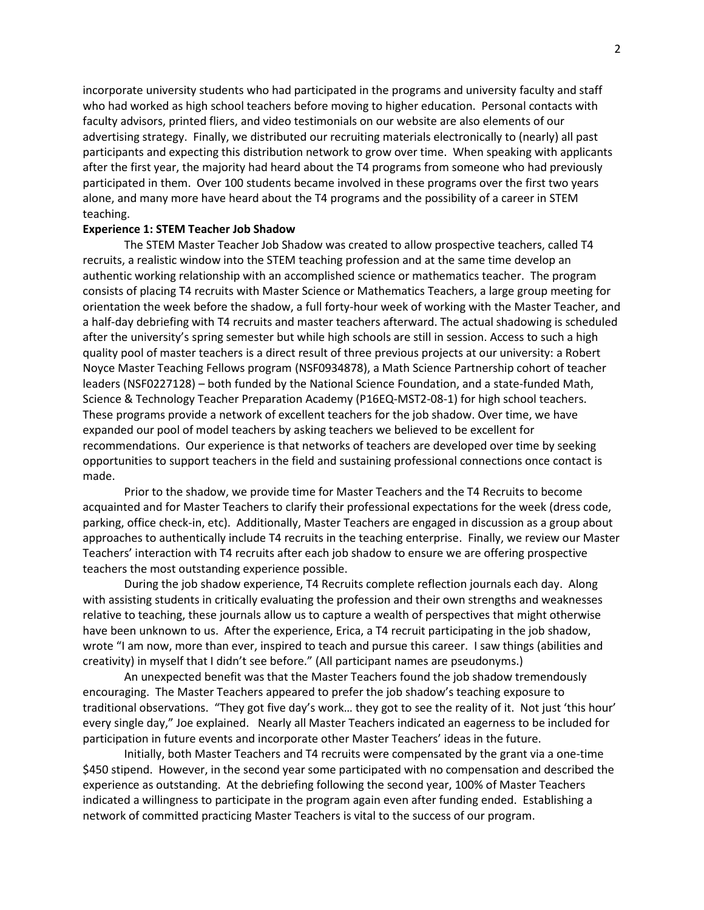incorporate university students who had participated in the programs and university faculty and staff who had worked as high school teachers before moving to higher education. Personal contacts with faculty advisors, printed fliers, and video testimonials on our website are also elements of our advertising strategy. Finally, we distributed our recruiting materials electronically to (nearly) all past participants and expecting this distribution network to grow over time. When speaking with applicants after the first year, the majority had heard about the T4 programs from someone who had previously participated in them. Over 100 students became involved in these programs over the first two years alone, and many more have heard about the T4 programs and the possibility of a career in STEM teaching.

### **Experience 1: STEM Teacher Job Shadow**

The STEM Master Teacher Job Shadow was created to allow prospective teachers, called T4 recruits, a realistic window into the STEM teaching profession and at the same time develop an authentic working relationship with an accomplished science or mathematics teacher. The program consists of placing T4 recruits with Master Science or Mathematics Teachers, a large group meeting for orientation the week before the shadow, a full forty-hour week of working with the Master Teacher, and a half-day debriefing with T4 recruits and master teachers afterward. The actual shadowing is scheduled after the university's spring semester but while high schools are still in session. Access to such a high quality pool of master teachers is a direct result of three previous projects at our university: a Robert Noyce Master Teaching Fellows program (NSF0934878), a Math Science Partnership cohort of teacher leaders (NSF0227128) – both funded by the National Science Foundation, and a state-funded Math, Science & Technology Teacher Preparation Academy (P16EQ-MST2-08-1) for high school teachers. These programs provide a network of excellent teachers for the job shadow. Over time, we have expanded our pool of model teachers by asking teachers we believed to be excellent for recommendations. Our experience is that networks of teachers are developed over time by seeking opportunities to support teachers in the field and sustaining professional connections once contact is made.

Prior to the shadow, we provide time for Master Teachers and the T4 Recruits to become acquainted and for Master Teachers to clarify their professional expectations for the week (dress code, parking, office check-in, etc). Additionally, Master Teachers are engaged in discussion as a group about approaches to authentically include T4 recruits in the teaching enterprise. Finally, we review our Master Teachers' interaction with T4 recruits after each job shadow to ensure we are offering prospective teachers the most outstanding experience possible.

During the job shadow experience, T4 Recruits complete reflection journals each day. Along with assisting students in critically evaluating the profession and their own strengths and weaknesses relative to teaching, these journals allow us to capture a wealth of perspectives that might otherwise have been unknown to us. After the experience, Erica, a T4 recruit participating in the job shadow, wrote "I am now, more than ever, inspired to teach and pursue this career. I saw things (abilities and creativity) in myself that I didn't see before." (All participant names are pseudonyms.)

An unexpected benefit was that the Master Teachers found the job shadow tremendously encouraging. The Master Teachers appeared to prefer the job shadow's teaching exposure to traditional observations. "They got five day's work… they got to see the reality of it. Not just 'this hour' every single day," Joe explained. Nearly all Master Teachers indicated an eagerness to be included for participation in future events and incorporate other Master Teachers' ideas in the future.

Initially, both Master Teachers and T4 recruits were compensated by the grant via a one-time \$450 stipend. However, in the second year some participated with no compensation and described the experience as outstanding. At the debriefing following the second year, 100% of Master Teachers indicated a willingness to participate in the program again even after funding ended. Establishing a network of committed practicing Master Teachers is vital to the success of our program.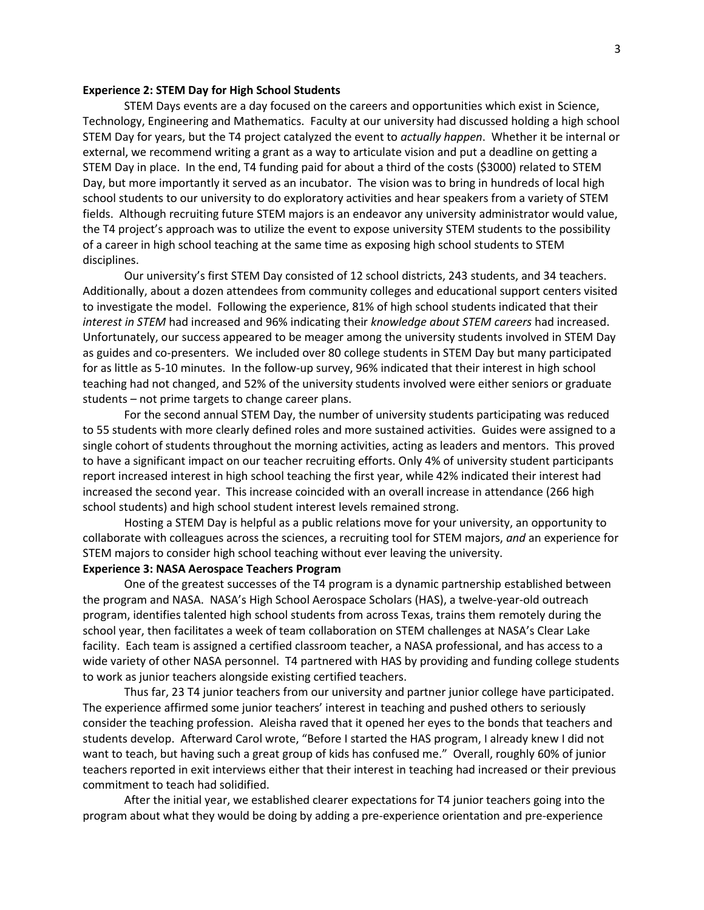#### **Experience 2: STEM Day for High School Students**

STEM Days events are a day focused on the careers and opportunities which exist in Science, Technology, Engineering and Mathematics. Faculty at our university had discussed holding a high school STEM Day for years, but the T4 project catalyzed the event to *actually happen*. Whether it be internal or external, we recommend writing a grant as a way to articulate vision and put a deadline on getting a STEM Day in place. In the end, T4 funding paid for about a third of the costs (\$3000) related to STEM Day, but more importantly it served as an incubator. The vision was to bring in hundreds of local high school students to our university to do exploratory activities and hear speakers from a variety of STEM fields. Although recruiting future STEM majors is an endeavor any university administrator would value, the T4 project's approach was to utilize the event to expose university STEM students to the possibility of a career in high school teaching at the same time as exposing high school students to STEM disciplines.

Our university's first STEM Day consisted of 12 school districts, 243 students, and 34 teachers. Additionally, about a dozen attendees from community colleges and educational support centers visited to investigate the model. Following the experience, 81% of high school students indicated that their *interest in STEM* had increased and 96% indicating their *knowledge about STEM careers* had increased. Unfortunately, our success appeared to be meager among the university students involved in STEM Day as guides and co-presenters. We included over 80 college students in STEM Day but many participated for as little as 5-10 minutes. In the follow-up survey, 96% indicated that their interest in high school teaching had not changed, and 52% of the university students involved were either seniors or graduate students – not prime targets to change career plans.

For the second annual STEM Day, the number of university students participating was reduced to 55 students with more clearly defined roles and more sustained activities. Guides were assigned to a single cohort of students throughout the morning activities, acting as leaders and mentors. This proved to have a significant impact on our teacher recruiting efforts. Only 4% of university student participants report increased interest in high school teaching the first year, while 42% indicated their interest had increased the second year. This increase coincided with an overall increase in attendance (266 high school students) and high school student interest levels remained strong.

Hosting a STEM Day is helpful as a public relations move for your university, an opportunity to collaborate with colleagues across the sciences, a recruiting tool for STEM majors, *and* an experience for STEM majors to consider high school teaching without ever leaving the university.

## **Experience 3: NASA Aerospace Teachers Program**

One of the greatest successes of the T4 program is a dynamic partnership established between the program and NASA. NASA's High School Aerospace Scholars (HAS), a twelve-year-old outreach program, identifies talented high school students from across Texas, trains them remotely during the school year, then facilitates a week of team collaboration on STEM challenges at NASA's Clear Lake facility. Each team is assigned a certified classroom teacher, a NASA professional, and has access to a wide variety of other NASA personnel. T4 partnered with HAS by providing and funding college students to work as junior teachers alongside existing certified teachers.

Thus far, 23 T4 junior teachers from our university and partner junior college have participated. The experience affirmed some junior teachers' interest in teaching and pushed others to seriously consider the teaching profession. Aleisha raved that it opened her eyes to the bonds that teachers and students develop. Afterward Carol wrote, "Before I started the HAS program, I already knew I did not want to teach, but having such a great group of kids has confused me." Overall, roughly 60% of junior teachers reported in exit interviews either that their interest in teaching had increased or their previous commitment to teach had solidified.

After the initial year, we established clearer expectations for T4 junior teachers going into the program about what they would be doing by adding a pre-experience orientation and pre-experience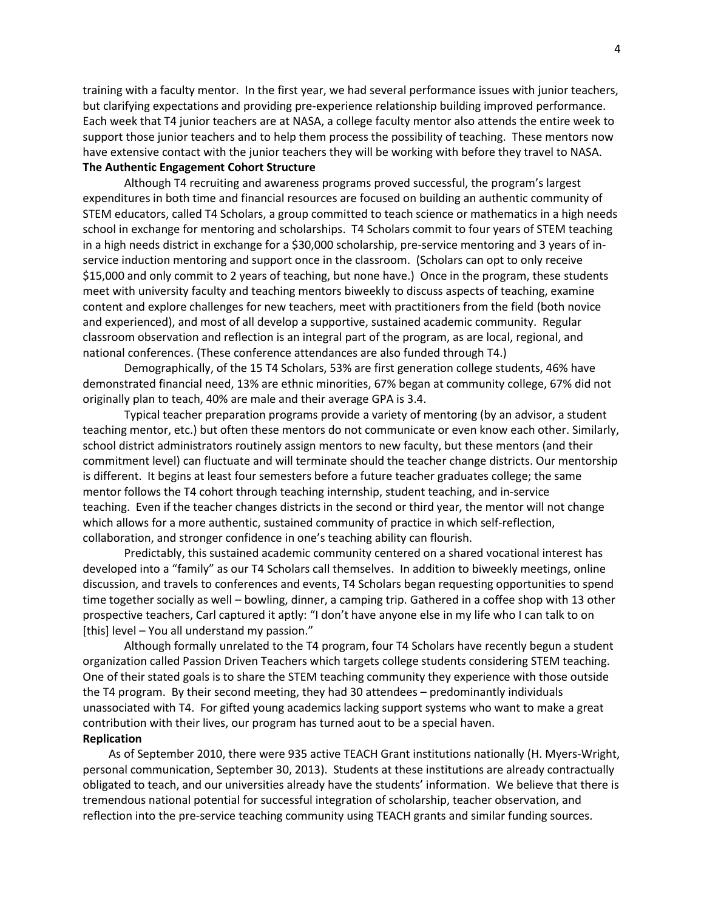training with a faculty mentor. In the first year, we had several performance issues with junior teachers, but clarifying expectations and providing pre-experience relationship building improved performance. Each week that T4 junior teachers are at NASA, a college faculty mentor also attends the entire week to support those junior teachers and to help them process the possibility of teaching. These mentors now have extensive contact with the junior teachers they will be working with before they travel to NASA. **The Authentic Engagement Cohort Structure**

Although T4 recruiting and awareness programs proved successful, the program's largest expenditures in both time and financial resources are focused on building an authentic community of STEM educators, called T4 Scholars, a group committed to teach science or mathematics in a high needs school in exchange for mentoring and scholarships. T4 Scholars commit to four years of STEM teaching in a high needs district in exchange for a \$30,000 scholarship, pre-service mentoring and 3 years of inservice induction mentoring and support once in the classroom. (Scholars can opt to only receive \$15,000 and only commit to 2 years of teaching, but none have.) Once in the program, these students meet with university faculty and teaching mentors biweekly to discuss aspects of teaching, examine content and explore challenges for new teachers, meet with practitioners from the field (both novice and experienced), and most of all develop a supportive, sustained academic community. Regular classroom observation and reflection is an integral part of the program, as are local, regional, and national conferences. (These conference attendances are also funded through T4.)

Demographically, of the 15 T4 Scholars, 53% are first generation college students, 46% have demonstrated financial need, 13% are ethnic minorities, 67% began at community college, 67% did not originally plan to teach, 40% are male and their average GPA is 3.4.

Typical teacher preparation programs provide a variety of mentoring (by an advisor, a student teaching mentor, etc.) but often these mentors do not communicate or even know each other. Similarly, school district administrators routinely assign mentors to new faculty, but these mentors (and their commitment level) can fluctuate and will terminate should the teacher change districts. Our mentorship is different. It begins at least four semesters before a future teacher graduates college; the same mentor follows the T4 cohort through teaching internship, student teaching, and in-service teaching. Even if the teacher changes districts in the second or third year, the mentor will not change which allows for a more authentic, sustained community of practice in which self-reflection, collaboration, and stronger confidence in one's teaching ability can flourish.

Predictably, this sustained academic community centered on a shared vocational interest has developed into a "family" as our T4 Scholars call themselves. In addition to biweekly meetings, online discussion, and travels to conferences and events, T4 Scholars began requesting opportunities to spend time together socially as well – bowling, dinner, a camping trip. Gathered in a coffee shop with 13 other prospective teachers, Carl captured it aptly: "I don't have anyone else in my life who I can talk to on [this] level – You all understand my passion."

Although formally unrelated to the T4 program, four T4 Scholars have recently begun a student organization called Passion Driven Teachers which targets college students considering STEM teaching. One of their stated goals is to share the STEM teaching community they experience with those outside the T4 program. By their second meeting, they had 30 attendees – predominantly individuals unassociated with T4. For gifted young academics lacking support systems who want to make a great contribution with their lives, our program has turned aout to be a special haven. **Replication**

As of September 2010, there were 935 active TEACH Grant institutions nationally (H. Myers-Wright, personal communication, September 30, 2013). Students at these institutions are already contractually obligated to teach, and our universities already have the students' information. We believe that there is tremendous national potential for successful integration of scholarship, teacher observation, and reflection into the pre-service teaching community using TEACH grants and similar funding sources.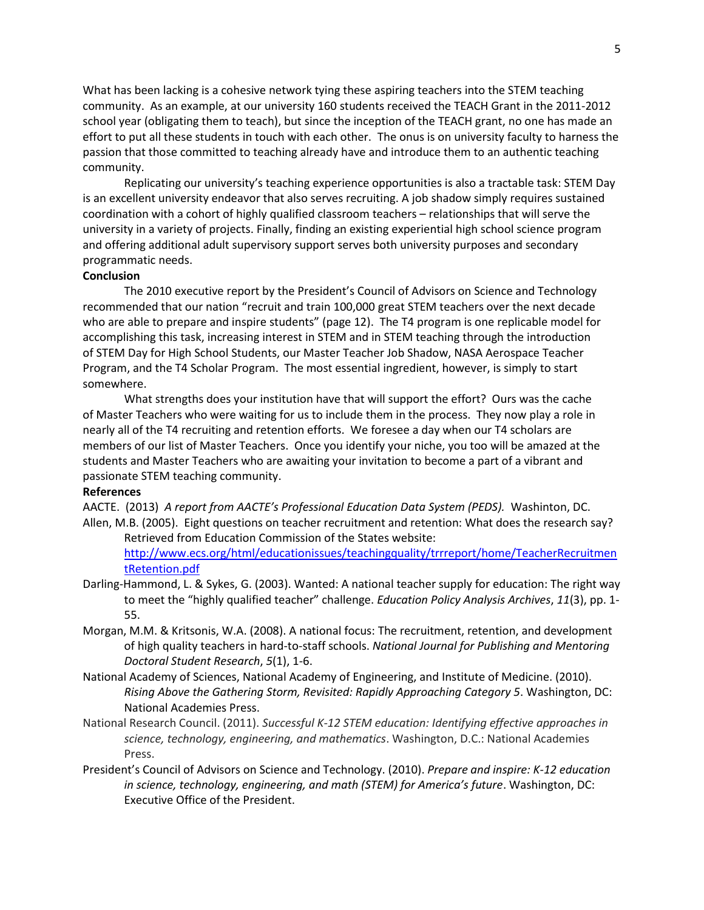What has been lacking is a cohesive network tying these aspiring teachers into the STEM teaching community. As an example, at our university 160 students received the TEACH Grant in the 2011-2012 school year (obligating them to teach), but since the inception of the TEACH grant, no one has made an effort to put all these students in touch with each other. The onus is on university faculty to harness the passion that those committed to teaching already have and introduce them to an authentic teaching community.

Replicating our university's teaching experience opportunities is also a tractable task: STEM Day is an excellent university endeavor that also serves recruiting. A job shadow simply requires sustained coordination with a cohort of highly qualified classroom teachers – relationships that will serve the university in a variety of projects. Finally, finding an existing experiential high school science program and offering additional adult supervisory support serves both university purposes and secondary programmatic needs.

### **Conclusion**

The 2010 executive report by the President's Council of Advisors on Science and Technology recommended that our nation "recruit and train 100,000 great STEM teachers over the next decade who are able to prepare and inspire students" (page 12). The T4 program is one replicable model for accomplishing this task, increasing interest in STEM and in STEM teaching through the introduction of STEM Day for High School Students, our Master Teacher Job Shadow, NASA Aerospace Teacher Program, and the T4 Scholar Program. The most essential ingredient, however, is simply to start somewhere.

What strengths does your institution have that will support the effort? Ours was the cache of Master Teachers who were waiting for us to include them in the process. They now play a role in nearly all of the T4 recruiting and retention efforts. We foresee a day when our T4 scholars are members of our list of Master Teachers. Once you identify your niche, you too will be amazed at the students and Master Teachers who are awaiting your invitation to become a part of a vibrant and passionate STEM teaching community.

## **References**

AACTE. (2013) *A report from AACTE's Professional Education Data System (PEDS).* Washinton, DC. Allen, M.B. (2005). Eight questions on teacher recruitment and retention: What does the research say? Retrieved from Education Commission of the States website:

[http://www.ecs.org/html/educationissues/teachingquality/trrreport/home/TeacherRecruitmen](http://www.ecs.org/html/educationissues/teachingquality/trrreport/home/TeacherRecruitmentRetention.pdf) [tRetention.pdf](http://www.ecs.org/html/educationissues/teachingquality/trrreport/home/TeacherRecruitmentRetention.pdf)

- Darling-Hammond, L. & Sykes, G. (2003). Wanted: A national teacher supply for education: The right way to meet the "highly qualified teacher" challenge. *Education Policy Analysis Archives*, *11*(3), pp. 1- 55.
- Morgan, M.M. & Kritsonis, W.A. (2008). A national focus: The recruitment, retention, and development of high quality teachers in hard-to-staff schools. *National Journal for Publishing and Mentoring Doctoral Student Research*, *5*(1), 1-6.
- National Academy of Sciences, National Academy of Engineering, and Institute of Medicine. (2010). *Rising Above the Gathering Storm, Revisited: Rapidly Approaching Category 5*. Washington, DC: National Academies Press.
- National Research Council. (2011). *Successful K-12 STEM education: Identifying effective approaches in science, technology, engineering, and mathematics*. Washington, D.C.: National Academies Press.
- President's Council of Advisors on Science and Technology. (2010). *Prepare and inspire: K-12 education in science, technology, engineering, and math (STEM) for America's future*. Washington, DC: Executive Office of the President.